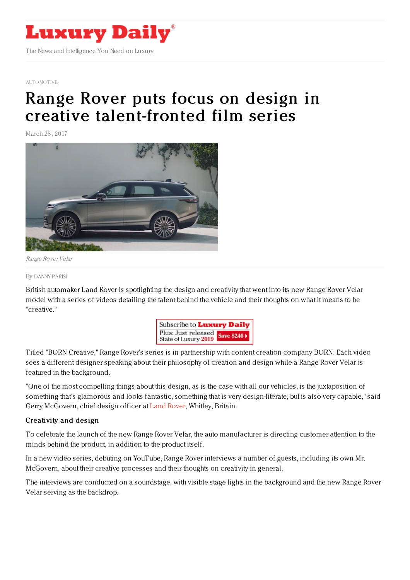

#### [AUTOMOTIVE](file:///tmp/www.luxurydaily.com/category/automotive)

# Range Rover puts focus on design in creative [talent-fronted](https://www.luxurydaily.com/range-rover-puts-focus-on-design-in-creative-talent-fronted-film-series/) film series

March 28, 2017



Range Rover Velar

#### By [DANNY](file:///author/danny-parisi) PARISI

British automaker Land Rover is spotlighting the design and creativity that went into its new Range Rover Velar model with a series of videos detailing the talent behind the vehicle and their thoughts on what it means to be "creative."



Titled "BORN Creative," Range Rover's series is in partnership with content creation company BORN. Each video sees a different designer speaking about their philosophy of creation and design while a Range Rover Velar is featured in the background.

"One of the most compelling things about this design, as is the case with all our vehicles, is the juxtaposition of something that's glamorous and looks fantastic, something that is very design-literate, but is also very capable," said Gerry McGovern, chief design officer at Land [Rover](http://www.landroverusa.com/index.html), Whitley, Britain.

### Creativity and design

To celebrate the launch of the new Range Rover Velar, the auto manufacturer is directing customer attention to the minds behind the product, in addition to the product itself.

In a new video series, debuting on YouTube, Range Rover interviews a number of guests, including its own Mr. McGovern, about their creative processes and their thoughts on creativity in general.

The interviews are conducted on a soundstage, with visible stage lights in the background and the new Range Rover Velar serving as the backdrop.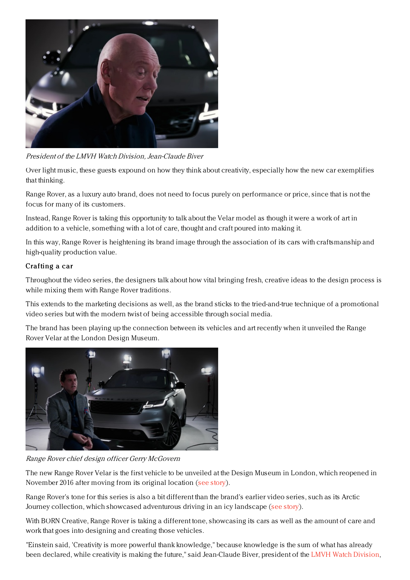

President of the LMVH Watch Division, Jean-Claude Biver

Over light music, these guests expound on how they think about creativity, especially how the new car exemplifies that thinking.

Range Rover, as a luxury auto brand, does not need to focus purely on performance or price, since that is not the focus for many of its customers.

Instead, Range Rover is taking this opportunity to talk about the Velar model as though it were a work of art in addition to a vehicle, something with a lot of care, thought and craft poured into making it.

In this way, Range Rover is heightening its brand image through the association of its cars with craftsmanship and high-quality production value.

## Crafting a car

Throughout the video series, the designers talk about how vital bringing fresh, creative ideas to the design process is while mixing them with Range Rover traditions.

This extends to the marketing decisions as well, as the brand sticks to the tried-and-true technique of a promotional video series but with the modern twist of being accessible through social media.

The brand has been playing up the connection between its vehicles and art recently when it unveiled the Range Rover Velar at the London Design Museum.



Range Rover chief design officer Gerry McGovern

The new Range Rover Velar is the first vehicle to be unveiled at the Design Museum in London, which reopened in November 2016 after moving from its original location (see [story](https://www.luxurydaily.com/range-rover-pushes-forward-in-marketing-and-technology/)).

Range Rover's tone for this series is also a bit different than the brand's earlier video series, such as its Arctic Journey collection, which showcased adventurous driving in an icy landscape (see [story](https://www.luxurydaily.com/land-rover-ices-competition-with-range-rover-video-series/)).

With BORN Creative, Range Rover is taking a different tone, showcasing its cars as well as the amount of care and work that goes into designing and creating those vehicles.

"Einstein said, 'Creativity is more powerful thank knowledge," because knowledge is the sum of what has already been declared, while creativity is making the future," said Jean-Claude Biver, president of the LMVH Watch [Division](https://www.lvmh.com/),